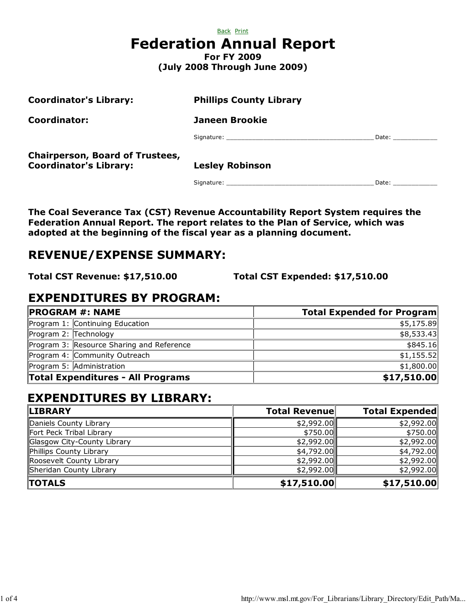|                                 | Back Print         |  |
|---------------------------------|--------------------|--|
| <b>Federation Annual Report</b> |                    |  |
|                                 | <b>For FY 2009</b> |  |

(July 2008 Through June 2009)

| <b>Coordinator's Library:</b>                                           | <b>Phillips County Library</b> |                                                                                                                                                                                                                                |
|-------------------------------------------------------------------------|--------------------------------|--------------------------------------------------------------------------------------------------------------------------------------------------------------------------------------------------------------------------------|
| Coordinator:                                                            | <b>Janeen Brookie</b>          |                                                                                                                                                                                                                                |
|                                                                         |                                | Date: ____________                                                                                                                                                                                                             |
| <b>Chairperson, Board of Trustees,</b><br><b>Coordinator's Library:</b> | <b>Lesley Robinson</b>         |                                                                                                                                                                                                                                |
|                                                                         |                                | Date: the contract of the contract of the contract of the contract of the contract of the contract of the contract of the contract of the contract of the contract of the contract of the contract of the contract of the cont |

The Coal Severance Tax (CST) Revenue Accountability Report System requires the Federation Annual Report. The report relates to the Plan of Service, which was adopted at the beginning of the fiscal year as a planning document.

# REVENUE/EXPENSE SUMMARY:

Total CST Revenue: \$17,510.00 Total CST Expended: \$17,510.00

# EXPENDITURES BY PROGRAM:

| <b>PROGRAM #: NAME</b> |                                           | <b>Total Expended for Program</b> |
|------------------------|-------------------------------------------|-----------------------------------|
|                        | Program 1: Continuing Education           | \$5,175.89                        |
| Program 2: Technology  |                                           | \$8,533.43                        |
|                        | Program 3: Resource Sharing and Reference | \$845.16                          |
|                        | Program 4: Community Outreach             | \$1,155.52                        |
|                        | Program 5: Administration                 | \$1,800.00                        |
|                        | Total Expenditures - All Programs         | \$17,510.00                       |

# EXPENDITURES BY LIBRARY:

| <b>LIBRARY</b>              | <b>Total Revenue</b> | <b>Total Expended</b> |
|-----------------------------|----------------------|-----------------------|
| Daniels County Library      | \$2,992.00           | \$2,992.00            |
| Fort Peck Tribal Library    | \$750.00             | \$750.00              |
| Glasgow City-County Library | \$2,992.00           | \$2,992.00            |
| Phillips County Library     | \$4,792.00           | \$4,792.00            |
| Roosevelt County Library    | \$2,992.00           | \$2,992.00            |
| Sheridan County Library     | \$2,992.00           | \$2,992.00            |
| <b>TOTALS</b>               | \$17,510.00          | \$17,510.00           |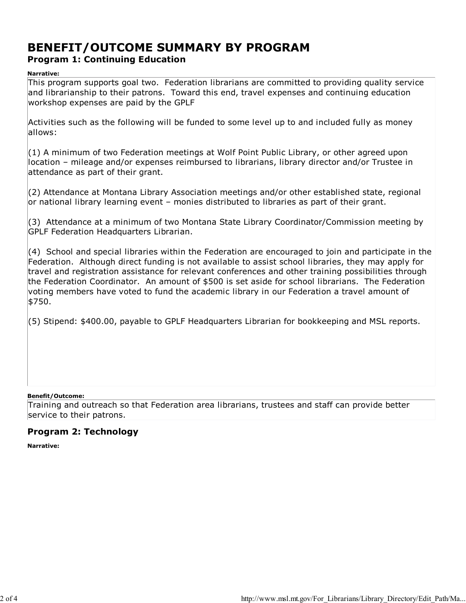## BENEFIT/OUTCOME SUMMARY BY PROGRAM Program 1: Continuing Education

#### Narrative:

This program supports goal two. Federation librarians are committed to providing quality service and librarianship to their patrons. Toward this end, travel expenses and continuing education workshop expenses are paid by the GPLF

Activities such as the following will be funded to some level up to and included fully as money allows:

(1) A minimum of two Federation meetings at Wolf Point Public Library, or other agreed upon location – mileage and/or expenses reimbursed to librarians, library director and/or Trustee in attendance as part of their grant.

(2) Attendance at Montana Library Association meetings and/or other established state, regional or national library learning event – monies distributed to libraries as part of their grant.

(3) Attendance at a minimum of two Montana State Library Coordinator/Commission meeting by GPLF Federation Headquarters Librarian.

(4) School and special libraries within the Federation are encouraged to join and participate in the Federation. Although direct funding is not available to assist school libraries, they may apply for travel and registration assistance for relevant conferences and other training possibilities through the Federation Coordinator. An amount of \$500 is set aside for school librarians. The Federation voting members have voted to fund the academic library in our Federation a travel amount of \$750.

(5) Stipend: \$400.00, payable to GPLF Headquarters Librarian for bookkeeping and MSL reports.

#### Benefit/Outcome:

Training and outreach so that Federation area librarians, trustees and staff can provide better service to their patrons.

## Program 2: Technology

Narrative: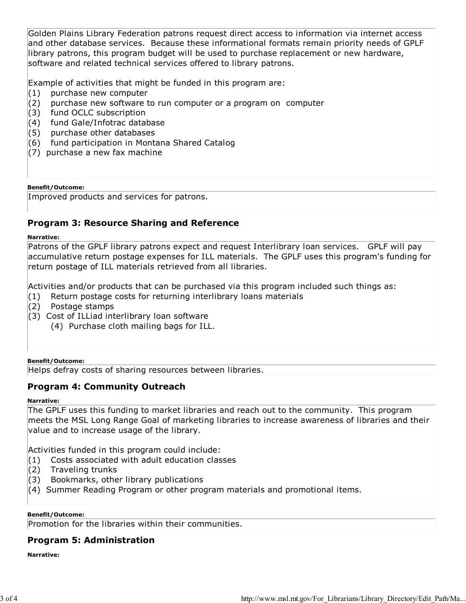Golden Plains Library Federation patrons request direct access to information via internet access and other database services. Because these informational formats remain priority needs of GPLF library patrons, this program budget will be used to purchase replacement or new hardware, software and related technical services offered to library patrons.

Example of activities that might be funded in this program are:

- (1) purchase new computer
- (2) purchase new software to run computer or a program on computer
- (3) fund OCLC subscription
- (4) fund Gale/Infotrac database
- (5) purchase other databases
- (6) fund participation in Montana Shared Catalog
- (7) purchase a new fax machine

#### Benefit/Outcome:

Improved products and services for patrons.

## Program 3: Resource Sharing and Reference

#### Narrative:

Patrons of the GPLF library patrons expect and request Interlibrary loan services. GPLF will pay accumulative return postage expenses for ILL materials. The GPLF uses this program's funding for return postage of ILL materials retrieved from all libraries.

Activities and/or products that can be purchased via this program included such things as:

- (1) Return postage costs for returning interlibrary loans materials
- (2) Postage stamps
- (3) Cost of ILLiad interlibrary loan software
	- (4) Purchase cloth mailing bags for ILL.

#### Benefit/Outcome:

Helps defray costs of sharing resources between libraries.

#### Program 4: Community Outreach

#### Narrative:

The GPLF uses this funding to market libraries and reach out to the community. This program meets the MSL Long Range Goal of marketing libraries to increase awareness of libraries and their value and to increase usage of the library.

Activities funded in this program could include:

(1) Costs associated with adult education classes

- (2) Traveling trunks
- (3) Bookmarks, other library publications
- (4) Summer Reading Program or other program materials and promotional items.

#### Benefit/Outcome:

Promotion for the libraries within their communities.

## Program 5: Administration

Narrative: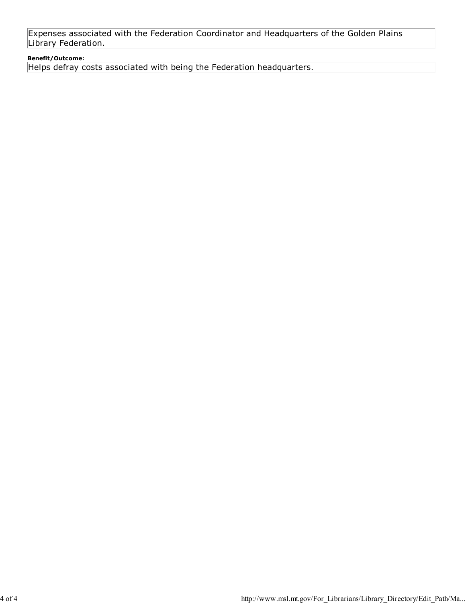Expenses associated with the Federation Coordinator and Headquarters of the Golden Plains Library Federation.

#### Benefit/Outcome:

Helps defray costs associated with being the Federation headquarters.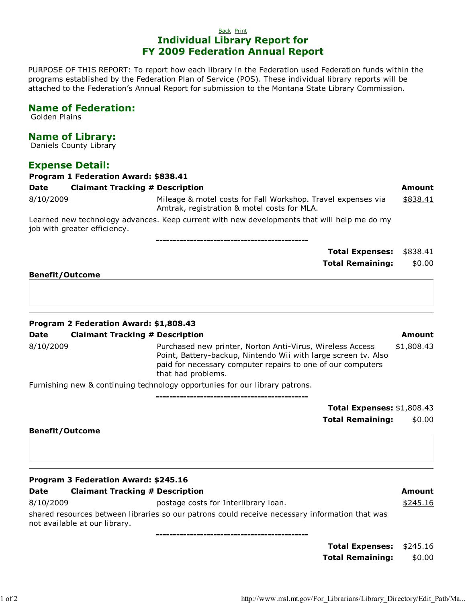PURPOSE OF THIS REPORT: To report how each library in the Federation used Federation funds within the programs established by the Federation Plan of Service (POS). These individual library reports will be attached to the Federation's Annual Report for submission to the Montana State Library Commission.

## Name of Federation:

Golden Plains

## Name of Library:

Daniels County Library

## Expense Detail:

| <b>Program 1 Federation Award: \$838.41</b>                                                                                 |                                                                                                             |          |  |  |
|-----------------------------------------------------------------------------------------------------------------------------|-------------------------------------------------------------------------------------------------------------|----------|--|--|
| <b>Date</b>                                                                                                                 | <b>Claimant Tracking # Description</b>                                                                      | Amount   |  |  |
| 8/10/2009                                                                                                                   | Mileage & motel costs for Fall Workshop. Travel expenses via<br>Amtrak, registration & motel costs for MLA. | \$838.41 |  |  |
| Learned new technology advances. Keep current with new developments that will help me do my<br>job with greater efficiency. |                                                                                                             |          |  |  |

---------------------------------------------

|                             | Total Expenses: \$838.41 |  |
|-----------------------------|--------------------------|--|
|                             | Total Remaining: \$0.00  |  |
| $\sim$ $\sim$ $\sim$ $\sim$ |                          |  |

Benefit/Outcome

#### Program 2 Federation Award: \$1,808.43

#### Date Claimant Tracking # Description Amount Amount

#### 8/10/2009 Purchased new printer, Norton Anti-Virus, Wireless Access Point, Battery-backup, Nintendo Wii with large screen tv. Also paid for necessary computer repairs to one of our computers that had problems. \$1,808.43

Furnishing new & continuing technology opportunies for our library patrons.

Total Expenses: \$1,808.43 Total Remaining: \$0.00

#### Benefit/Outcome

|             | Program 3 Federation Award: \$245.16   |        |
|-------------|----------------------------------------|--------|
| <b>Date</b> | <b>Claimant Tracking # Description</b> | Amount |

8/10/2009 Postage costs for Interlibrary loan. Sanctic 10/2009 Sanctic 10 million postage costs for Interlibrary loan.

shared resources between libraries so our patrons could receive necessary information that was not available at our library.

---------------------------------------------

---------------------------------------------

| <b>Total Expenses:</b>  | \$245.16 |
|-------------------------|----------|
| <b>Total Remaining:</b> | \$0.00   |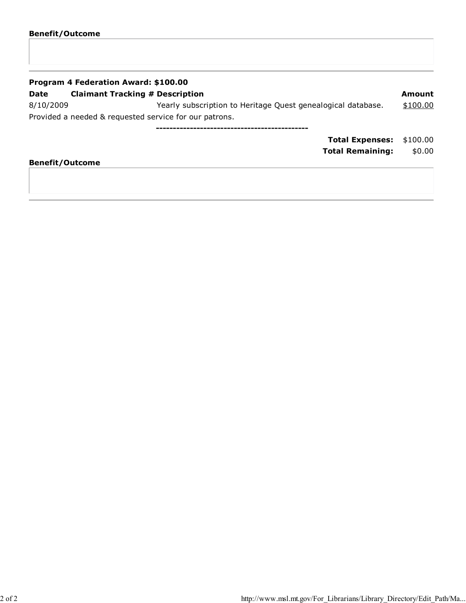| Program 4 Federation Award: \$100.00 |                                                              |          |  |  |
|--------------------------------------|--------------------------------------------------------------|----------|--|--|
| Date                                 | <b>Claimant Tracking # Description</b>                       | Amount   |  |  |
| 8/10/2009                            | Yearly subscription to Heritage Quest genealogical database. | \$100.00 |  |  |
|                                      | Provided a needed & requested service for our patrons.       |          |  |  |
|                                      |                                                              |          |  |  |
|                                      | <b>Total Expenses:</b>                                       | \$100.00 |  |  |

## Total Remaining: \$0.00

## Benefit/Outcome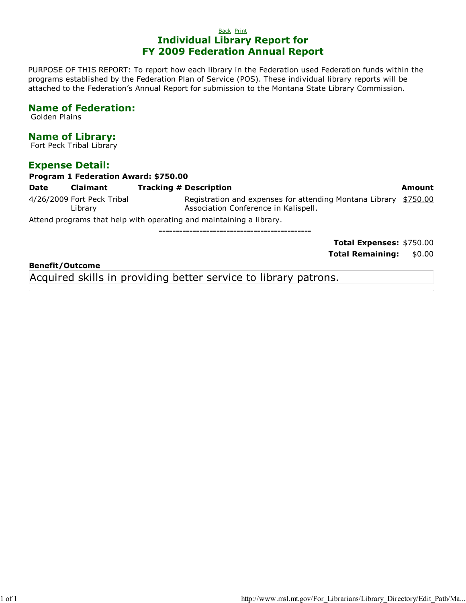PURPOSE OF THIS REPORT: To report how each library in the Federation used Federation funds within the programs established by the Federation Plan of Service (POS). These individual library reports will be attached to the Federation's Annual Report for submission to the Montana State Library Commission.

## Name of Federation:

Golden Plains

## Name of Library:

Fort Peck Tribal Library

## Expense Detail:

| Program 1 Federation Award: \$750.00 |                                       |                                                                                                 |          |  |
|--------------------------------------|---------------------------------------|-------------------------------------------------------------------------------------------------|----------|--|
| Date                                 | <b>Claimant</b>                       | <b>Tracking # Description</b>                                                                   | Amount   |  |
|                                      | 4/26/2009 Fort Peck Tribal<br>Library | Registration and expenses for attending Montana Library<br>Association Conference in Kalispell. | \$750.00 |  |
|                                      |                                       | Attend programs that help with operating and maintaining a library.                             |          |  |
|                                      |                                       |                                                                                                 |          |  |
|                                      |                                       | <b>Total Expenses: \$750.00</b>                                                                 |          |  |

Total Remaining: \$0.00

#### Benefit/Outcome

Acquired skills in providing better service to library patrons.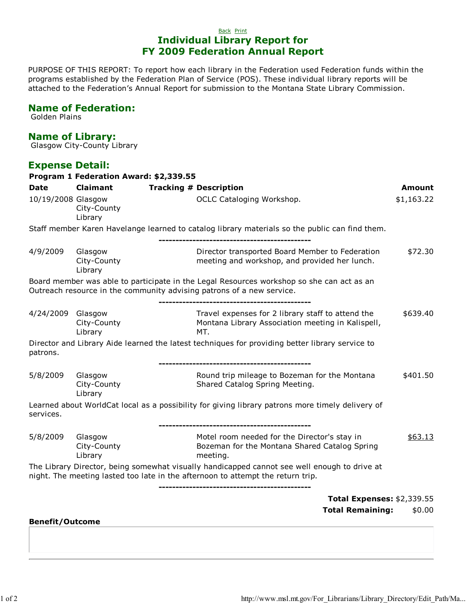PURPOSE OF THIS REPORT: To report how each library in the Federation used Federation funds within the programs established by the Federation Plan of Service (POS). These individual library reports will be attached to the Federation's Annual Report for submission to the Montana State Library Commission.

## Name of Federation:

Golden Plains

# Name of Library:

Glasgow City-County Library

## Expense Detail:

|                        |                                   | Program 1 Federation Award: \$2,339.55                                                                                                                                          |            |
|------------------------|-----------------------------------|---------------------------------------------------------------------------------------------------------------------------------------------------------------------------------|------------|
| <b>Date</b>            | <b>Claimant</b>                   | <b>Tracking # Description</b>                                                                                                                                                   | Amount     |
| 10/19/2008 Glasgow     | City-County<br>Library            | OCLC Cataloging Workshop.                                                                                                                                                       | \$1,163.22 |
|                        |                                   | Staff member Karen Havelange learned to catalog library materials so the public can find them.                                                                                  |            |
| 4/9/2009               | Glasgow<br>City-County<br>Library | Director transported Board Member to Federation<br>meeting and workshop, and provided her lunch.                                                                                | \$72.30    |
|                        |                                   | Board member was able to participate in the Legal Resources workshop so she can act as an<br>Outreach resource in the community advising patrons of a new service.              |            |
| 4/24/2009 Glasgow      | City-County<br>Library            | Travel expenses for 2 library staff to attend the<br>Montana Library Association meeting in Kalispell,<br>MT.                                                                   | \$639.40   |
| patrons.               |                                   | Director and Library Aide learned the latest techniques for providing better library service to                                                                                 |            |
| 5/8/2009               | Glasgow<br>City-County<br>Library | Round trip mileage to Bozeman for the Montana<br>Shared Catalog Spring Meeting.                                                                                                 | \$401.50   |
| services.              |                                   | Learned about WorldCat local as a possibility for giving library patrons more timely delivery of                                                                                |            |
| 5/8/2009               | Glasgow<br>City-County<br>Library | Motel room needed for the Director's stay in<br>Bozeman for the Montana Shared Catalog Spring<br>meeting.                                                                       | \$63.13    |
|                        |                                   | The Library Director, being somewhat visually handicapped cannot see well enough to drive at<br>night. The meeting lasted too late in the afternoon to attempt the return trip. |            |
|                        |                                   | <b>Total Expenses: \$2,339.55</b>                                                                                                                                               |            |
|                        |                                   | <b>Total Remaining:</b>                                                                                                                                                         | \$0.00     |
| <b>Benefit/Outcome</b> |                                   |                                                                                                                                                                                 |            |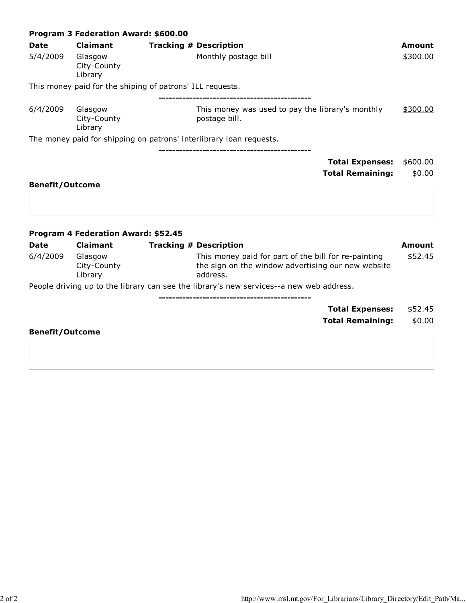|                         | Program 3 Federation Award: \$600.00                 |                                                                                                                                                         |                          |  |  |  |
|-------------------------|------------------------------------------------------|---------------------------------------------------------------------------------------------------------------------------------------------------------|--------------------------|--|--|--|
| <b>Date</b>             | <b>Claimant</b>                                      | <b>Tracking # Description</b>                                                                                                                           | Amount                   |  |  |  |
| 5/4/2009                | Glasgow<br>City-County<br>Library                    | Monthly postage bill                                                                                                                                    | \$300.00                 |  |  |  |
|                         |                                                      | This money paid for the shiping of patrons' ILL requests.                                                                                               |                          |  |  |  |
| 6/4/2009                | Glasgow<br>City-County<br>Library                    | --------------------------------<br>This money was used to pay the library's monthly<br>postage bill.                                                   | \$300.00                 |  |  |  |
|                         |                                                      | The money paid for shipping on patrons' interlibrary loan requests.                                                                                     |                          |  |  |  |
|                         |                                                      | <b>Total Expenses:</b>                                                                                                                                  | \$600.00                 |  |  |  |
|                         |                                                      | <b>Total Remaining:</b>                                                                                                                                 | \$0.00                   |  |  |  |
| <b>Benefit/Outcome</b>  |                                                      |                                                                                                                                                         |                          |  |  |  |
|                         | <b>Program 4 Federation Award: \$52.45</b>           |                                                                                                                                                         |                          |  |  |  |
| <b>Date</b><br>6/4/2009 | <b>Claimant</b><br>Glasgow<br>City-County<br>Library | <b>Tracking # Description</b><br>This money paid for part of the bill for re-painting<br>the sign on the window advertising our new website<br>address. | <b>Amount</b><br>\$52.45 |  |  |  |
|                         |                                                      | People driving up to the library can see the library's new services--a new web address.                                                                 |                          |  |  |  |
|                         |                                                      | <b>Total Expenses:</b>                                                                                                                                  | \$52.45                  |  |  |  |
|                         |                                                      | <b>Total Remaining:</b>                                                                                                                                 | \$0.00                   |  |  |  |
| <b>Benefit/Outcome</b>  |                                                      |                                                                                                                                                         |                          |  |  |  |
|                         |                                                      |                                                                                                                                                         |                          |  |  |  |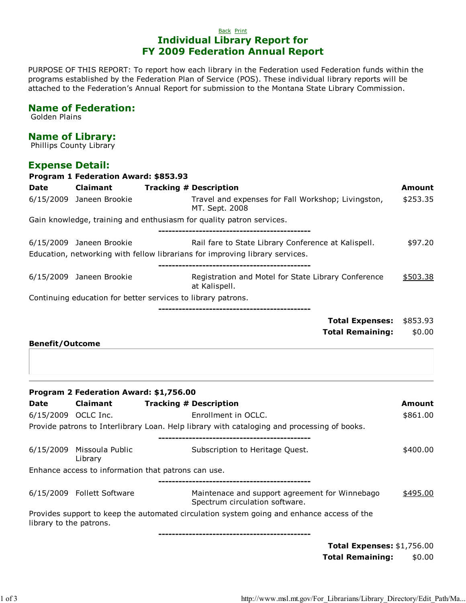PURPOSE OF THIS REPORT: To report how each library in the Federation used Federation funds within the programs established by the Federation Plan of Service (POS). These individual library reports will be attached to the Federation's Annual Report for submission to the Montana State Library Commission.

## Name of Federation:

Golden Plains

## Name of Library:

Phillips County Library

## Expense Detail:

|                         | Program 1 Federation Award: \$853.93   |                                                                                                                                     |          |
|-------------------------|----------------------------------------|-------------------------------------------------------------------------------------------------------------------------------------|----------|
| <b>Date</b>             | <b>Claimant</b>                        | <b>Tracking # Description</b>                                                                                                       | Amount   |
|                         | 6/15/2009 Janeen Brookie               | Travel and expenses for Fall Workshop; Livingston,<br>MT. Sept. 2008                                                                | \$253.35 |
|                         |                                        | Gain knowledge, training and enthusiasm for quality patron services.                                                                |          |
|                         | 6/15/2009 Janeen Brookie               | Rail fare to State Library Conference at Kalispell.<br>Education, networking with fellow librarians for improving library services. | \$97.20  |
|                         | 6/15/2009 Janeen Brookie               | Registration and Motel for State Library Conference<br>at Kalispell.                                                                | \$503.38 |
|                         |                                        | Continuing education for better services to library patrons.                                                                        |          |
|                         |                                        | <b>Total Expenses:</b>                                                                                                              | \$853.93 |
|                         |                                        | <b>Total Remaining:</b>                                                                                                             | \$0.00   |
|                         | Program 2 Federation Award: \$1,756.00 |                                                                                                                                     |          |
| Date                    | <b>Claimant</b>                        | <b>Tracking # Description</b>                                                                                                       | Amount   |
| 6/15/2009 OCLC Inc.     |                                        | Enrollment in OCLC.                                                                                                                 | \$861.00 |
|                         |                                        | Provide patrons to Interlibrary Loan. Help library with cataloging and processing of books.                                         |          |
|                         | 6/15/2009 Missoula Public<br>Library   | Subscription to Heritage Quest.                                                                                                     | \$400.00 |
|                         |                                        | Enhance access to information that patrons can use.<br>----------------------------------                                           |          |
|                         | 6/15/2009 Follett Software             | Maintenace and support agreement for Winnebago<br>Spectrum circulation software.                                                    | \$495.00 |
| library to the patrons. |                                        | Provides support to keep the automated circulation system going and enhance access of the                                           |          |
|                         |                                        | <b>Total Expenses: \$1,756.00</b>                                                                                                   |          |

Total Remaining: \$0.00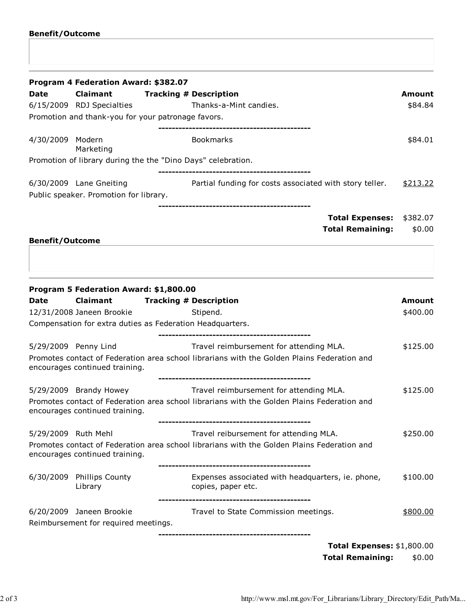|                        | Program 4 Federation Award: \$382.07                             |                                                                                                                                       |                    |
|------------------------|------------------------------------------------------------------|---------------------------------------------------------------------------------------------------------------------------------------|--------------------|
| <b>Date</b>            | Claimant                                                         | <b>Tracking # Description</b>                                                                                                         | <b>Amount</b>      |
|                        | 6/15/2009 RDJ Specialties                                        | Thanks-a-Mint candies.                                                                                                                | \$84.84            |
|                        | Promotion and thank-you for your patronage favors.               |                                                                                                                                       |                    |
| 4/30/2009              | Modern<br>Marketing                                              | <b>Bookmarks</b>                                                                                                                      | \$84.01            |
|                        |                                                                  | Promotion of library during the the "Dino Days" celebration.                                                                          |                    |
|                        | 6/30/2009 Lane Gneiting                                          | Partial funding for costs associated with story teller.                                                                               | \$213.22           |
|                        | Public speaker. Promotion for library.                           |                                                                                                                                       |                    |
|                        |                                                                  | <b>Total Expenses:</b><br><b>Total Remaining:</b>                                                                                     | \$382.07<br>\$0.00 |
| <b>Benefit/Outcome</b> |                                                                  |                                                                                                                                       |                    |
| <b>Date</b>            | Program 5 Federation Award: \$1,800.00<br>Claimant               | <b>Tracking # Description</b>                                                                                                         | <b>Amount</b>      |
|                        | 12/31/2008 Janeen Brookie                                        | Stipend.                                                                                                                              | \$400.00           |
|                        |                                                                  | Compensation for extra duties as Federation Headquarters.                                                                             |                    |
|                        | 5/29/2009 Penny Lind                                             | ----------------------------------<br>Travel reimbursement for attending MLA.                                                         | \$125.00           |
|                        | encourages continued training.                                   | Promotes contact of Federation area school librarians with the Golden Plains Federation and                                           |                    |
|                        | 5/29/2009 Brandy Howey                                           | Travel reimbursement for attending MLA.                                                                                               | \$125.00           |
|                        | encourages continued training.                                   | Promotes contact of Federation area school librarians with the Golden Plains Federation and                                           |                    |
| 5/29/2009 Ruth Mehl    | encourages continued training.                                   | Travel reibursement for attending MLA.<br>Promotes contact of Federation area school librarians with the Golden Plains Federation and | \$250.00           |
|                        | 6/30/2009 Phillips County<br>Library                             | Expenses associated with headquarters, ie. phone,<br>copies, paper etc.                                                               | \$100.00           |
|                        | 6/20/2009 Janeen Brookie<br>Reimbursement for required meetings. | Travel to State Commission meetings.                                                                                                  | \$800.00           |
|                        |                                                                  |                                                                                                                                       |                    |

Total Remaining: \$0.00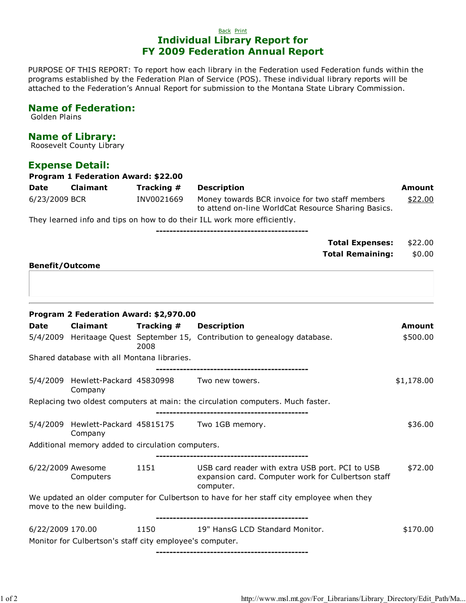PURPOSE OF THIS REPORT: To report how each library in the Federation used Federation funds within the programs established by the Federation Plan of Service (POS). These individual library reports will be attached to the Federation's Annual Report for submission to the Montana State Library Commission.

#### Name of Federation:

Golden Plains

## Name of Library:

Roosevelt County Library

## Expense Detail:

| <b>Program 1 Federation Award: \$22.00</b> |                 |            |                                                                                                        |         |
|--------------------------------------------|-----------------|------------|--------------------------------------------------------------------------------------------------------|---------|
| Date                                       | <b>Claimant</b> | Tracking # | <b>Description</b>                                                                                     | Amount  |
| 6/23/2009 BCR                              |                 | INV0021669 | Money towards BCR invoice for two staff members<br>to attend on-line WorldCat Resource Sharing Basics. | \$22.00 |

They learned info and tips on how to do their ILL work more efficiently.

| Total Expenses: \$22.00        |
|--------------------------------|
| <b>Total Remaining: \$0.00</b> |
|                                |

#### Benefit/Outcome

|                  | Program 2 Federation Award: \$2,970.00                       |                        |                                                                                           |            |
|------------------|--------------------------------------------------------------|------------------------|-------------------------------------------------------------------------------------------|------------|
| <b>Date</b>      | <b>Claimant</b>                                              | Tracking # Description |                                                                                           | Amount     |
|                  |                                                              | 2008                   | 5/4/2009 Heritaage Quest September 15, Contribution to genealogy database.                | \$500.00   |
|                  | Shared database with all Montana libraries.                  |                        |                                                                                           |            |
|                  |                                                              |                        |                                                                                           |            |
|                  | 5/4/2009 Hewlett-Packard 45830998 Two new towers.<br>Company |                        |                                                                                           | \$1,178.00 |
|                  |                                                              |                        | Replacing two oldest computers at main: the circulation computers. Much faster.           |            |
|                  |                                                              |                        | 5/4/2009 Hewlett-Packard 45815175 Two 1GB memory.                                         | \$36.00    |
|                  | Company                                                      |                        |                                                                                           |            |
|                  | Additional memory added to circulation computers.            |                        |                                                                                           |            |
|                  | 6/22/2009 Awesome                                            | 1151                   | USB card reader with extra USB port. PCI to USB                                           | \$72.00    |
|                  | Computers                                                    |                        | expansion card. Computer work for Culbertson staff<br>computer.                           |            |
|                  | move to the new building.                                    |                        | We updated an older computer for Culbertson to have for her staff city employee when they |            |
| 6/22/2009 170.00 |                                                              | 1150                   | 19" HansG LCD Standard Monitor.                                                           | \$170.00   |
|                  | Monitor for Culbertson's staff city employee's computer.     |                        |                                                                                           |            |
|                  |                                                              |                        |                                                                                           |            |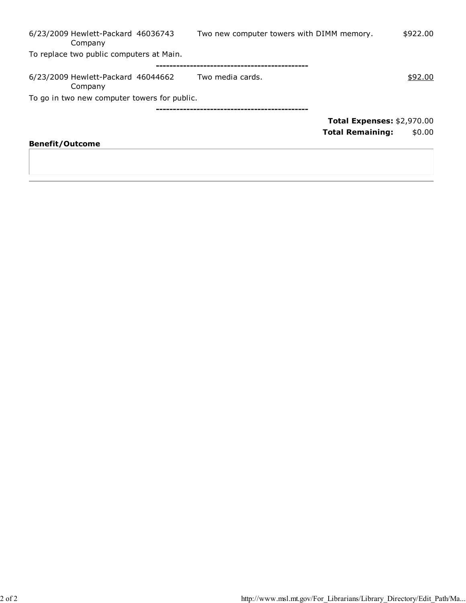| 6/23/2009 Hewlett-Packard 46036743<br>Company | Two new computer towers with DIMM memory. | \$922.00                          |
|-----------------------------------------------|-------------------------------------------|-----------------------------------|
| To replace two public computers at Main.      |                                           |                                   |
|                                               |                                           |                                   |
| 6/23/2009 Hewlett-Packard 46044662<br>Company | Two media cards.                          | \$92.00                           |
| To go in two new computer towers for public.  |                                           |                                   |
|                                               |                                           |                                   |
|                                               |                                           | <b>Total Expenses: \$2,970.00</b> |
|                                               |                                           | <b>Total Remaining:</b><br>\$0.00 |
| <b>Benefit/Outcome</b>                        |                                           |                                   |